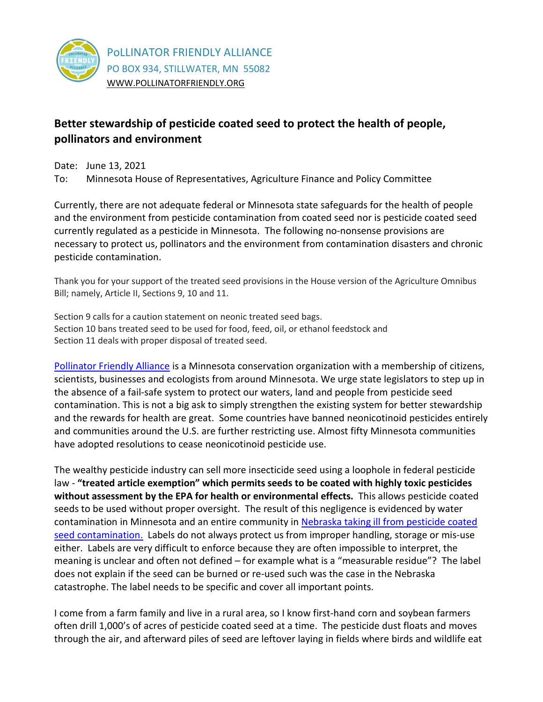

## **Better stewardship of pesticide coated seed to protect the health of people, pollinators and environment**

Date: June 13, 2021 To: Minnesota House of Representatives, Agriculture Finance and Policy Committee

Currently, there are not adequate federal or Minnesota state safeguards for the health of people and the environment from pesticide contamination from coated seed nor is pesticide coated seed currently regulated as a pesticide in Minnesota. The following no-nonsense provisions are necessary to protect us, pollinators and the environment from contamination disasters and chronic pesticide contamination.

Thank you for your support of the treated seed provisions in the House version of the Agriculture Omnibus Bill; namely, Article II, Sections 9, 10 and 11.

Section 9 calls for a caution statement on neonic treated seed bags. Section 10 bans treated seed to be used for food, feed, oil, or ethanol feedstock and Section 11 deals with proper disposal of treated seed.

[Pollinator Friendly Alliance](https://pollinatorfriendly.org/) is a Minnesota conservation organization with a membership of citizens, scientists, businesses and ecologists from around Minnesota. We urge state legislators to step up in the absence of a fail-safe system to protect our waters, land and people from pesticide seed contamination. This is not a big ask to simply strengthen the existing system for better stewardship and the rewards for health are great. Some countries have banned neonicotinoid pesticides entirely and communities around the U.S. are further restricting use. Almost fifty Minnesota communities have adopted resolutions to cease neonicotinoid pesticide use.

The wealthy pesticide industry can sell more insecticide seed using a loophole in federal pesticide law - **"treated article exemption" which permits seeds to be coated with highly toxic pesticides without assessment by the EPA for health or environmental effects.** This allows pesticide coated seeds to be used without proper oversight. The result of this negligence is evidenced by water contamination in Minnesota and an entire community i[n Nebraska taking ill from pesticide coated](https://www.theguardian.com/us-news/2021/jan/10/mead-nebraska-ethanol-plant-pollution-danger)  [seed contamination.](https://www.theguardian.com/us-news/2021/jan/10/mead-nebraska-ethanol-plant-pollution-danger) Labels do not always protect us from improper handling, storage or mis-use either. Labels are very difficult to enforce because they are often impossible to interpret, the meaning is unclear and often not defined – for example what is a "measurable residue"? The label does not explain if the seed can be burned or re-used such was the case in the Nebraska catastrophe. The label needs to be specific and cover all important points.

I come from a farm family and live in a rural area, so I know first-hand corn and soybean farmers often drill 1,000's of acres of pesticide coated seed at a time. The pesticide dust floats and moves through the air, and afterward piles of seed are leftover laying in fields where birds and wildlife eat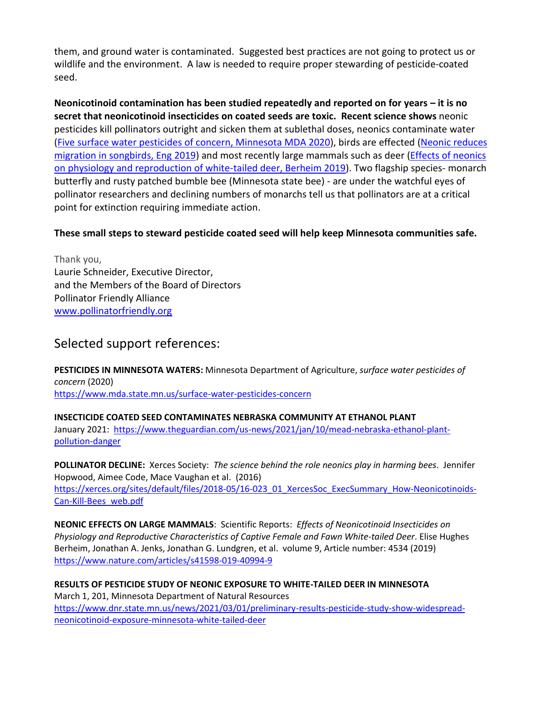them, and ground water is contaminated. Suggested best practices are not going to protect us or wildlife and the environment. A law is needed to require proper stewarding of pesticide-coated seed.

**Neonicotinoid contamination has been studied repeatedly and reported on for years – it is no secret that neonicotinoid insecticides on coated seeds are toxic. Recent science shows** neonic pesticides kill pollinators outright and sicken them at sublethal doses, neonics contaminate water [\(Five surface water pesticides of concern, Minnesota MDA 2020\)](https://www.mda.state.mn.us/surface-water-pesticides-concern), birds are effected [\(Neonic reduces](https://science.sciencemag.org/content/365/6458/1177)  [migration in songbirds, Eng 2019\)](https://science.sciencemag.org/content/365/6458/1177) and most recently large mammals such as deer (Effects of neonics [on physiology and reproduction of white-tailed deer, Berheim 2019\)](https://www.nature.com/articles/s41598-019-40994-9). Two flagship species- monarch butterfly and rusty patched bumble bee (Minnesota state bee) - are under the watchful eyes of pollinator researchers and declining numbers of monarchs tell us that pollinators are at a critical point for extinction requiring immediate action.

## **These small steps to steward pesticide coated seed will help keep Minnesota communities safe.**

Thank you, Laurie Schneider, Executive Director, and the Members of the Board of Directors Pollinator Friendly Alliance [www.pollinatorfriendly.org](http://www.pollinatorfriendly.org/)

## Selected support references:

**PESTICIDES IN MINNESOTA WATERS:** Minnesota Department of Agriculture, *surface water pesticides of concern* (2020) <https://www.mda.state.mn.us/surface-water-pesticides-concern>

**INSECTICIDE COATED SEED CONTAMINATES NEBRASKA COMMUNITY AT ETHANOL PLANT** January 2021: [https://www.theguardian.com/us-news/2021/jan/10/mead-nebraska-ethanol-plant](https://www.theguardian.com/us-news/2021/jan/10/mead-nebraska-ethanol-plant-pollution-danger)[pollution-danger](https://www.theguardian.com/us-news/2021/jan/10/mead-nebraska-ethanol-plant-pollution-danger)

**POLLINATOR DECLINE:** Xerces Society: *The science behind the role neonics play in harming bees*. Jennifer Hopwood, Aimee Code, Mace Vaughan et al. (2016) [https://xerces.org/sites/default/files/2018-05/16-023\\_01\\_XercesSoc\\_ExecSummary\\_How-Neonicotinoids-](https://xerces.org/sites/default/files/2018-05/16-023_01_XercesSoc_ExecSummary_How-Neonicotinoids-Can-Kill-Bees_web.pdf)[Can-Kill-Bees\\_web.pdf](https://xerces.org/sites/default/files/2018-05/16-023_01_XercesSoc_ExecSummary_How-Neonicotinoids-Can-Kill-Bees_web.pdf)

**NEONIC EFFECTS ON LARGE MAMMALS**: Scientific Reports: *Effects of Neonicotinoid Insecticides on Physiology and Reproductive Characteristics of Captive Female and Fawn White-tailed Deer*. Elise Hughes Berheim, Jonathan A. Jenks, Jonathan G. Lundgren, et al. volume 9, Article number: 4534 (2019) <https://www.nature.com/articles/s41598-019-40994-9>

**RESULTS OF PESTICIDE STUDY OF NEONIC EXPOSURE TO WHITE-TAILED DEER IN MINNESOTA** March 1, 201, Minnesota Department of Natural Resources [https://www.dnr.state.mn.us/news/2021/03/01/preliminary-results-pesticide-study-show-widespread](https://www.dnr.state.mn.us/news/2021/03/01/preliminary-results-pesticide-study-show-widespread-neonicotinoid-exposure-minnesota-white-tailed-deer)[neonicotinoid-exposure-minnesota-white-tailed-deer](https://www.dnr.state.mn.us/news/2021/03/01/preliminary-results-pesticide-study-show-widespread-neonicotinoid-exposure-minnesota-white-tailed-deer)